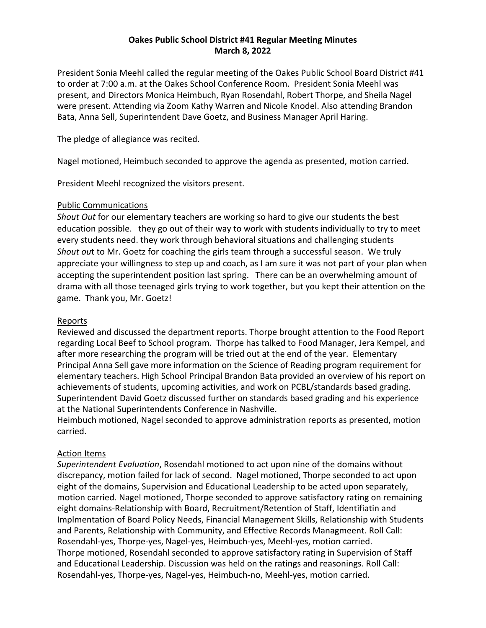### **Oakes Public School District #41 Regular Meeting Minutes March 8, 2022**

President Sonia Meehl called the regular meeting of the Oakes Public School Board District #41 to order at 7:00 a.m. at the Oakes School Conference Room. President Sonia Meehl was present, and Directors Monica Heimbuch, Ryan Rosendahl, Robert Thorpe, and Sheila Nagel were present. Attending via Zoom Kathy Warren and Nicole Knodel. Also attending Brandon Bata, Anna Sell, Superintendent Dave Goetz, and Business Manager April Haring.

The pledge of allegiance was recited.

Nagel motioned, Heimbuch seconded to approve the agenda as presented, motion carried.

President Meehl recognized the visitors present.

#### Public Communications

*Shout Out* for our elementary teachers are working so hard to give our students the best education possible. they go out of their way to work with students individually to try to meet every students need. they work through behavioral situations and challenging students *Shout ou*t to Mr. Goetz for coaching the girls team through a successful season. We truly appreciate your willingness to step up and coach, as I am sure it was not part of your plan when accepting the superintendent position last spring. There can be an overwhelming amount of drama with all those teenaged girls trying to work together, but you kept their attention on the game. Thank you, Mr. Goetz!

#### Reports

Reviewed and discussed the department reports. Thorpe brought attention to the Food Report regarding Local Beef to School program. Thorpe has talked to Food Manager, Jera Kempel, and after more researching the program will be tried out at the end of the year. Elementary Principal Anna Sell gave more information on the Science of Reading program requirement for elementary teachers. High School Principal Brandon Bata provided an overview of his report on achievements of students, upcoming activities, and work on PCBL/standards based grading. Superintendent David Goetz discussed further on standards based grading and his experience at the National Superintendents Conference in Nashville.

Heimbuch motioned, Nagel seconded to approve administration reports as presented, motion carried.

#### Action Items

*Superintendent Evaluation*, Rosendahl motioned to act upon nine of the domains without discrepancy, motion failed for lack of second. Nagel motioned, Thorpe seconded to act upon eight of the domains, Supervision and Educational Leadership to be acted upon separately, motion carried. Nagel motioned, Thorpe seconded to approve satisfactory rating on remaining eight domains-Relationship with Board, Recruitment/Retention of Staff, Identifiatin and Implmentation of Board Policy Needs, Financial Management Skills, Relationship with Students and Parents, Relationship with Community, and Effective Records Managmeent. Roll Call: Rosendahl-yes, Thorpe-yes, Nagel-yes, Heimbuch-yes, Meehl-yes, motion carried. Thorpe motioned, Rosendahl seconded to approve satisfactory rating in Supervision of Staff and Educational Leadership. Discussion was held on the ratings and reasonings. Roll Call: Rosendahl-yes, Thorpe-yes, Nagel-yes, Heimbuch-no, Meehl-yes, motion carried.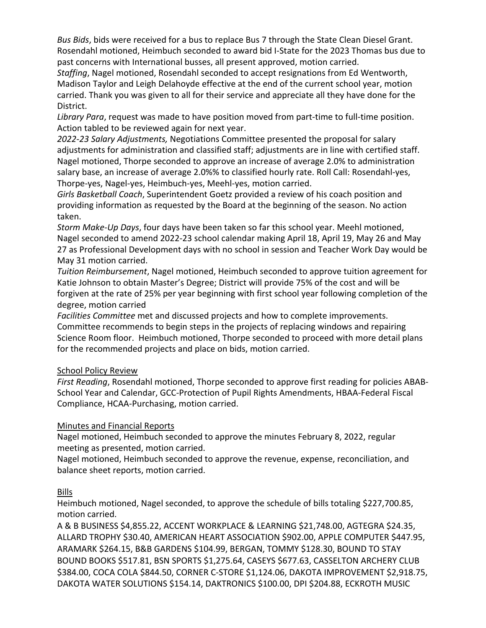*Bus Bids*, bids were received for a bus to replace Bus 7 through the State Clean Diesel Grant. Rosendahl motioned, Heimbuch seconded to award bid I-State for the 2023 Thomas bus due to past concerns with International busses, all present approved, motion carried.

*Staffing*, Nagel motioned, Rosendahl seconded to accept resignations from Ed Wentworth, Madison Taylor and Leigh Delahoyde effective at the end of the current school year, motion carried. Thank you was given to all for their service and appreciate all they have done for the District.

*Library Para*, request was made to have position moved from part-time to full-time position. Action tabled to be reviewed again for next year.

*2022-23 Salary Adjustments,* Negotiations Committee presented the proposal for salary adjustments for administration and classified staff; adjustments are in line with certified staff. Nagel motioned, Thorpe seconded to approve an increase of average 2.0% to administration salary base, an increase of average 2.0%% to classified hourly rate. Roll Call: Rosendahl-yes, Thorpe-yes, Nagel-yes, Heimbuch-yes, Meehl-yes, motion carried.

*Girls Basketball Coach*, Superintendent Goetz provided a review of his coach position and providing information as requested by the Board at the beginning of the season. No action taken.

*Storm Make-Up Days*, four days have been taken so far this school year. Meehl motioned, Nagel seconded to amend 2022-23 school calendar making April 18, April 19, May 26 and May 27 as Professional Development days with no school in session and Teacher Work Day would be May 31 motion carried.

*Tuition Reimbursement*, Nagel motioned, Heimbuch seconded to approve tuition agreement for Katie Johnson to obtain Master's Degree; District will provide 75% of the cost and will be forgiven at the rate of 25% per year beginning with first school year following completion of the degree, motion carried

*Facilities Committee* met and discussed projects and how to complete improvements. Committee recommends to begin steps in the projects of replacing windows and repairing Science Room floor. Heimbuch motioned, Thorpe seconded to proceed with more detail plans for the recommended projects and place on bids, motion carried.

## School Policy Review

*First Reading*, Rosendahl motioned, Thorpe seconded to approve first reading for policies ABAB-School Year and Calendar, GCC-Protection of Pupil Rights Amendments, HBAA-Federal Fiscal Compliance, HCAA-Purchasing, motion carried.

## Minutes and Financial Reports

Nagel motioned, Heimbuch seconded to approve the minutes February 8, 2022, regular meeting as presented, motion carried.

Nagel motioned, Heimbuch seconded to approve the revenue, expense, reconciliation, and balance sheet reports, motion carried.

# Bills

Heimbuch motioned, Nagel seconded, to approve the schedule of bills totaling \$227,700.85, motion carried.

A & B BUSINESS \$4,855.22, ACCENT WORKPLACE & LEARNING \$21,748.00, AGTEGRA \$24.35, ALLARD TROPHY \$30.40, AMERICAN HEART ASSOCIATION \$902.00, APPLE COMPUTER \$447.95, ARAMARK \$264.15, B&B GARDENS \$104.99, BERGAN, TOMMY \$128.30, BOUND TO STAY BOUND BOOKS \$517.81, BSN SPORTS \$1,275.64, CASEYS \$677.63, CASSELTON ARCHERY CLUB \$384.00, COCA COLA \$844.50, CORNER C-STORE \$1,124.06, DAKOTA IMPROVEMENT \$2,918.75, DAKOTA WATER SOLUTIONS \$154.14, DAKTRONICS \$100.00, DPI \$204.88, ECKROTH MUSIC